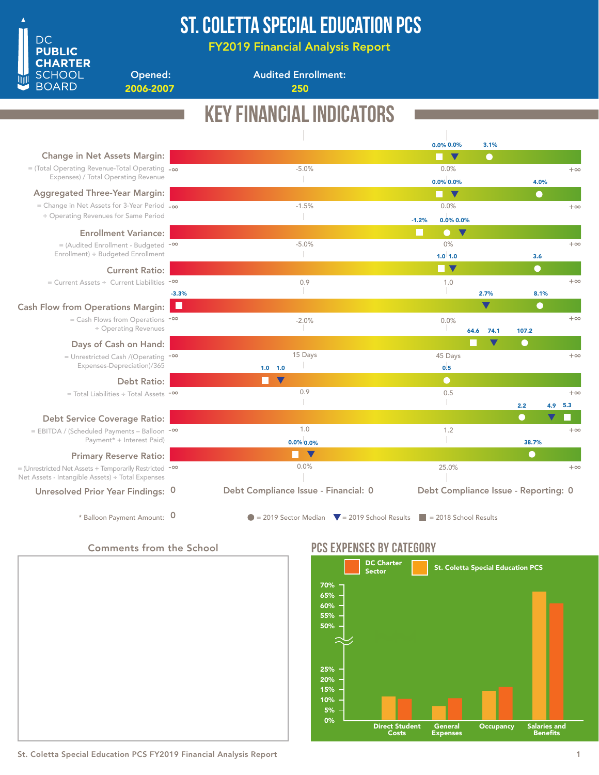

### ST. COLETTA SPECIAL EDUCATION PCS

FY2019 Financial Analysis Report

Opened: 2006-2007 250

Audited Enrollment:

## Key Financial Indicators

|                                                                                                                             |         |                                                                                                |         | 0.0% 0.0%                         | 3.1%                                 |           |           |           |
|-----------------------------------------------------------------------------------------------------------------------------|---------|------------------------------------------------------------------------------------------------|---------|-----------------------------------|--------------------------------------|-----------|-----------|-----------|
| Change in Net Assets Margin:                                                                                                |         |                                                                                                |         | $\blacktriangledown$              | $\bullet$                            |           |           |           |
| $=$ (Total Operating Revenue-Total Operating $-\infty$                                                                      |         | $-5.0%$                                                                                        |         | 0.0%                              |                                      |           |           | $+\infty$ |
| Expenses) / Total Operating Revenue                                                                                         |         |                                                                                                |         | $0.0\%$ 0.0%                      |                                      |           | 4.0%      |           |
| <b>Aggregated Three-Year Margin:</b>                                                                                        |         |                                                                                                |         | $\blacktriangledown$              |                                      |           | $\bullet$ |           |
| = Change in Net Assets for 3-Year Period $-\infty$                                                                          |         | $-1.5%$                                                                                        |         | 0.0%                              |                                      |           |           | $+\infty$ |
| ÷ Operating Revenues for Same Period                                                                                        |         |                                                                                                | $-1.2%$ | 0.0% 0.0%                         |                                      |           |           |           |
| <b>Enrollment Variance:</b>                                                                                                 |         |                                                                                                | M       | $\bullet$<br>$\blacktriangledown$ |                                      |           |           |           |
| $=$ (Audited Enrollment - Budgeted $-$ <sup>00</sup>                                                                        |         | $-5.0%$                                                                                        |         | 0%                                |                                      |           |           | $+\infty$ |
| Enrollment) ÷ Budgeted Enrollment                                                                                           |         |                                                                                                |         | $1.0^{1}1.0$                      |                                      |           | 3.6       |           |
| <b>Current Ratio:</b>                                                                                                       |         |                                                                                                |         | <b>TENT</b>                       |                                      |           | $\bullet$ |           |
| $=$ Current Assets ÷ Current Liabilities $-$ <sup>00</sup>                                                                  |         | 0.9                                                                                            |         | 1.0                               |                                      |           |           | $+\infty$ |
|                                                                                                                             | $-3.3%$ |                                                                                                |         |                                   | 2.7%                                 |           | 8.1%      |           |
| <b>Cash Flow from Operations Margin:</b>                                                                                    | Ш       |                                                                                                |         |                                   | $\blacktriangledown$                 |           | $\bullet$ |           |
| $=$ Cash Flows from Operations $-\infty$                                                                                    |         | $-2.0%$                                                                                        |         | 0.0%                              |                                      |           |           | $+\infty$ |
| ÷ Operating Revenues                                                                                                        |         |                                                                                                |         |                                   | 74.1<br>64.6                         | 107.2     |           |           |
| Days of Cash on Hand:                                                                                                       |         |                                                                                                |         |                                   | V                                    | $\bullet$ |           |           |
| = Unrestricted Cash /(Operating $-\infty$                                                                                   |         | 15 Days                                                                                        |         | 45 Days                           |                                      |           |           | $+\infty$ |
| Expenses-Depreciation)/365                                                                                                  |         | $1.0$ $1.0$                                                                                    |         | 0.5                               |                                      |           |           |           |
| <b>Debt Ratio:</b>                                                                                                          |         | $\blacktriangledown$                                                                           |         | $\bullet$                         |                                      |           |           |           |
| $=$ Total Liabilities ÷ Total Assets - $\infty$                                                                             |         | 0.9                                                                                            |         | 0.5                               |                                      |           |           | $+\infty$ |
|                                                                                                                             |         |                                                                                                |         |                                   |                                      | 2.2       |           | $4.9$ 5.3 |
| <b>Debt Service Coverage Ratio:</b>                                                                                         |         |                                                                                                |         |                                   |                                      | œ         |           |           |
| = EBITDA / (Scheduled Payments - Balloon -00                                                                                |         | 1.0                                                                                            |         | 1.2                               |                                      |           |           | $+\infty$ |
| Payment* + Interest Paid)                                                                                                   |         | $0.0\%$ 0.0%                                                                                   |         |                                   |                                      |           | 38.7%     |           |
| <b>Primary Reserve Ratio:</b>                                                                                               |         | V                                                                                              |         |                                   |                                      |           | $\bullet$ |           |
| $=$ (Unrestricted Net Assets + Temporarily Restricted $-$ <sup>00</sup><br>Net Assets - Intangible Assets) ÷ Total Expenses |         | 0.0%                                                                                           |         | 25.0%                             |                                      |           |           | $+\infty$ |
| Unresolved Prior Year Findings: 0                                                                                           |         | Debt Compliance Issue - Financial: 0                                                           |         |                                   | Debt Compliance Issue - Reporting: 0 |           |           |           |
| * Balloon Payment Amount: 0                                                                                                 |         | $\bullet$ = 2019 Sector Median $\bullet$ = 2019 School Results $\bullet$ = 2018 School Results |         |                                   |                                      |           |           |           |

### Comments from the School



### PCS EXPENSES BY CATEGORY

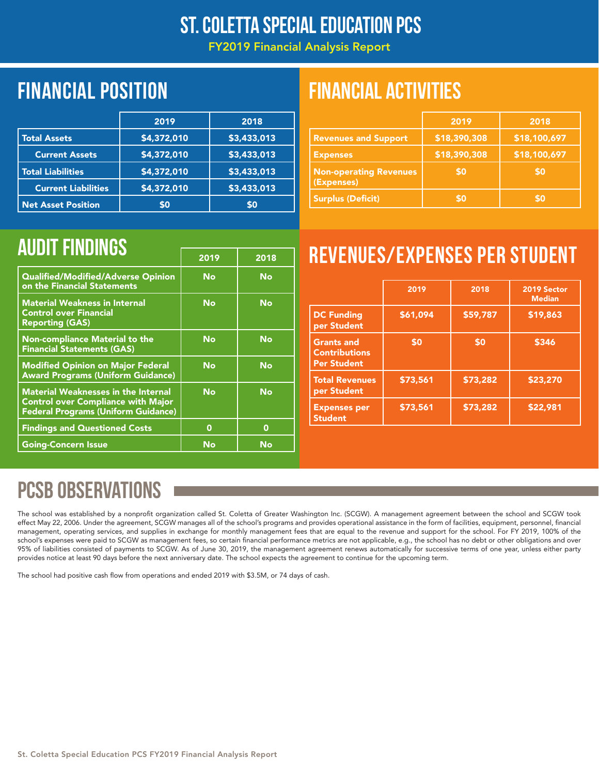### St. Coletta Special Education PCS

FY2019 Financial Analysis Report

|                            | 2019        | 2018        |
|----------------------------|-------------|-------------|
| <b>Total Assets</b>        | \$4,372,010 | \$3,433,013 |
| <b>Current Assets</b>      | \$4,372,010 | \$3,433,013 |
| <b>Total Liabilities</b>   | \$4,372,010 | \$3,433,013 |
| <b>Current Liabilities</b> | \$4,372,010 | \$3,433,013 |
| <b>Net Asset Position</b>  | \$0         | \$0         |

### Financial position FINANCIAL ACTIVITIES

|                                             | 2019         | 2018         |
|---------------------------------------------|--------------|--------------|
| <b>Revenues and Support</b>                 | \$18,390,308 | \$18,100,697 |
| <b>Expenses</b>                             | \$18,390,308 | \$18,100,697 |
| <b>Non-operating Revenues</b><br>(Expenses) | \$0          | \$0          |
| <b>Surplus (Deficit)</b>                    | \$0          | \$0          |

|                                                                                                                                       | 2019 | 2018        |
|---------------------------------------------------------------------------------------------------------------------------------------|------|-------------|
| Qualified/Modified/Adverse Opinion<br>on the Financial Statements                                                                     | No   | <b>No</b>   |
| <b>Material Weakness in Internal</b><br><b>Control over Financial</b><br><b>Reporting (GAS)</b>                                       | No   | No          |
| <b>Non-compliance Material to the</b><br><b>Financial Statements (GAS)</b>                                                            | No   | <b>No</b>   |
| <b>Modified Opinion on Major Federal</b><br><b>Award Programs (Uniform Guidance)</b>                                                  | No   | <b>No</b>   |
| <b>Material Weaknesses in the Internal</b><br><b>Control over Compliance with Major</b><br><b>Federal Programs (Uniform Guidance)</b> | No   | <b>No</b>   |
| <b>Findings and Questioned Costs</b>                                                                                                  | 0    | $\mathbf 0$ |
| <b>Going-Concern Issue</b>                                                                                                            | No   | No          |

# AUDIT FINDINGS **The CONSTRUCT OF STRUCK EXPENSES PER STUDENT**

|                                                                 | 2019     | 2018     | 2019 Sector<br><b>Median</b> |
|-----------------------------------------------------------------|----------|----------|------------------------------|
| <b>DC Funding</b><br>per Student                                | \$61,094 | \$59,787 | \$19,863                     |
| <b>Grants and</b><br><b>Contributions</b><br><b>Per Student</b> | \$0      | \$0      | \$346                        |
| <b>Total Revenues</b><br>per Student                            | \$73,561 | \$73,282 | \$23,270                     |
| <b>Expenses per</b><br><b>Student</b>                           | \$73,561 | \$73,282 | \$22,981                     |

## PCSB OBSERVATIONS

The school was established by a nonprofit organization called St. Coletta of Greater Washington Inc. (SCGW). A management agreement between the school and SCGW took effect May 22, 2006. Under the agreement, SCGW manages all of the school's programs and provides operational assistance in the form of facilities, equipment, personnel, financial management, operating services, and supplies in exchange for monthly management fees that are equal to the revenue and support for the school. For FY 2019, 100% of the school's expenses were paid to SCGW as management fees, so certain financial performance metrics are not applicable, e.g., the school has no debt or other obligations and over 95% of liabilities consisted of payments to SCGW. As of June 30, 2019, the management agreement renews automatically for successive terms of one year, unless either party provides notice at least 90 days before the next anniversary date. The school expects the agreement to continue for the upcoming term.

The school had positive cash flow from operations and ended 2019 with \$3.5M, or 74 days of cash.